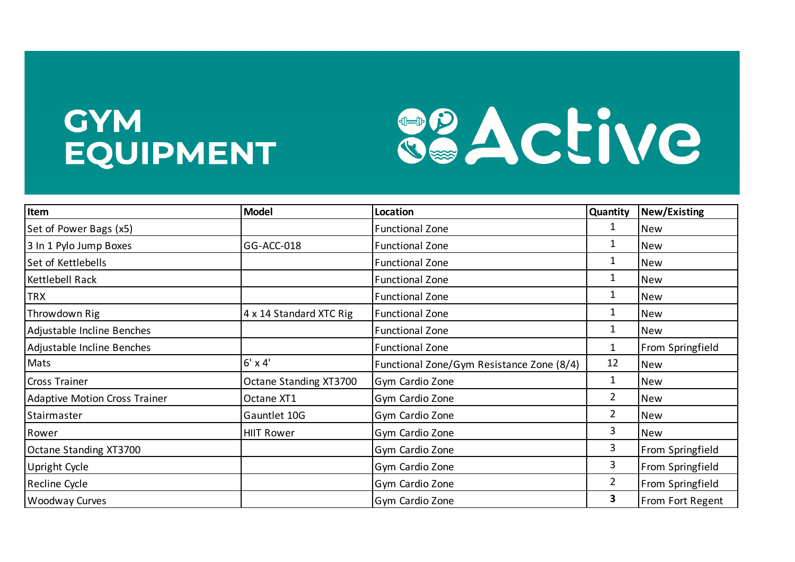## **GYM EQUIPMENT**



| Item                                 | <b>Model</b>            | Location                                  | Quantity       | New/Existing     |
|--------------------------------------|-------------------------|-------------------------------------------|----------------|------------------|
| Set of Power Bags (x5)               |                         | <b>Functional Zone</b>                    | 1              | <b>New</b>       |
| 3 In 1 Pylo Jump Boxes               | GG-ACC-018              | <b>Functional Zone</b>                    | 1              | New              |
| Set of Kettlebells                   |                         | <b>Functional Zone</b>                    | 1              | <b>New</b>       |
| Kettlebell Rack                      |                         | <b>Functional Zone</b>                    | 1              | <b>New</b>       |
| <b>TRX</b>                           |                         | <b>Functional Zone</b>                    | 1              | New              |
| Throwdown Rig                        | 4 x 14 Standard XTC Rig | <b>Functional Zone</b>                    | 1              | <b>New</b>       |
| Adjustable Incline Benches           |                         | <b>Functional Zone</b>                    |                | New              |
| Adjustable Incline Benches           |                         | <b>Functional Zone</b>                    | 1              | From Springfield |
| Mats                                 | $6' \times 4'$          | Functional Zone/Gym Resistance Zone (8/4) | 12             | New              |
| Cross Trainer                        | Octane Standing XT3700  | Gym Cardio Zone                           | 1              | New              |
| <b>Adaptive Motion Cross Trainer</b> | Octane XT1              | Gym Cardio Zone                           | $\overline{2}$ | New              |
| Stairmaster                          | Gauntlet 10G            | Gym Cardio Zone                           | $\overline{2}$ | New              |
| Rower                                | <b>HIIT Rower</b>       | Gym Cardio Zone                           | 3              | New              |
| Octane Standing XT3700               |                         | Gym Cardio Zone                           | 3              | From Springfield |
| Upright Cycle                        |                         | Gym Cardio Zone                           | 3              | From Springfield |
| Recline Cycle                        |                         | Gym Cardio Zone                           | $\overline{2}$ | From Springfield |
| <b>Woodway Curves</b>                |                         | Gym Cardio Zone                           | 3              | From Fort Regent |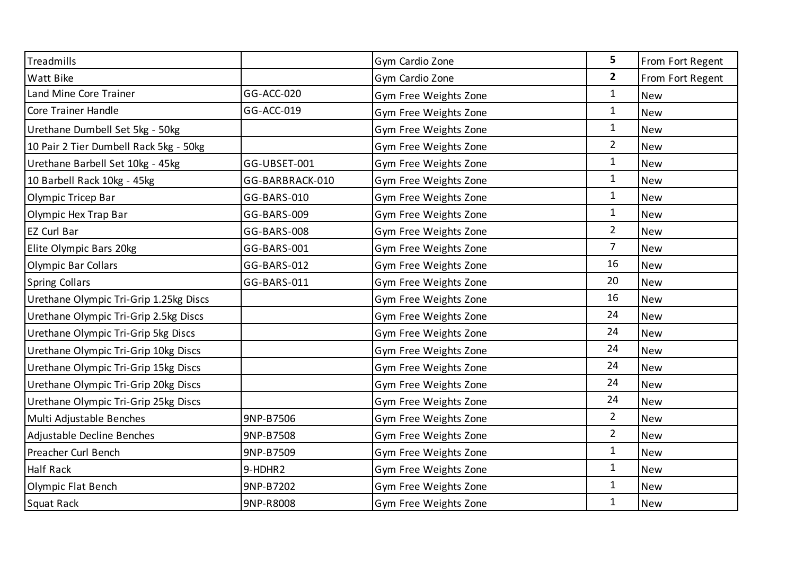| Treadmills                             |                 | Gym Cardio Zone       | 5              | From Fort Regent |
|----------------------------------------|-----------------|-----------------------|----------------|------------------|
| Watt Bike                              |                 | Gym Cardio Zone       | $\overline{2}$ | From Fort Regent |
| Land Mine Core Trainer                 | GG-ACC-020      | Gym Free Weights Zone | $\mathbf{1}$   | <b>New</b>       |
| Core Trainer Handle                    | GG-ACC-019      | Gym Free Weights Zone | $\mathbf{1}$   | <b>New</b>       |
| Urethane Dumbell Set 5kg - 50kg        |                 | Gym Free Weights Zone | $\mathbf{1}$   | <b>New</b>       |
| 10 Pair 2 Tier Dumbell Rack 5kg - 50kg |                 | Gym Free Weights Zone | $\overline{2}$ | <b>New</b>       |
| Urethane Barbell Set 10kg - 45kg       | GG-UBSET-001    | Gym Free Weights Zone | $\mathbf{1}$   | <b>New</b>       |
| 10 Barbell Rack 10kg - 45kg            | GG-BARBRACK-010 | Gym Free Weights Zone | $\mathbf{1}$   | <b>New</b>       |
| Olympic Tricep Bar                     | GG-BARS-010     | Gym Free Weights Zone | $\mathbf{1}$   | <b>New</b>       |
| Olympic Hex Trap Bar                   | GG-BARS-009     | Gym Free Weights Zone | $\mathbf{1}$   | <b>New</b>       |
| EZ Curl Bar                            | GG-BARS-008     | Gym Free Weights Zone | $\overline{2}$ | <b>New</b>       |
| Elite Olympic Bars 20kg                | GG-BARS-001     | Gym Free Weights Zone | $\overline{7}$ | <b>New</b>       |
| <b>Olympic Bar Collars</b>             | GG-BARS-012     | Gym Free Weights Zone | 16             | <b>New</b>       |
| <b>Spring Collars</b>                  | GG-BARS-011     | Gym Free Weights Zone | 20             | <b>New</b>       |
| Urethane Olympic Tri-Grip 1.25kg Discs |                 | Gym Free Weights Zone | 16             | <b>New</b>       |
| Urethane Olympic Tri-Grip 2.5kg Discs  |                 | Gym Free Weights Zone | 24             | <b>New</b>       |
| Urethane Olympic Tri-Grip 5kg Discs    |                 | Gym Free Weights Zone | 24             | <b>New</b>       |
| Urethane Olympic Tri-Grip 10kg Discs   |                 | Gym Free Weights Zone | 24             | <b>New</b>       |
| Urethane Olympic Tri-Grip 15kg Discs   |                 | Gym Free Weights Zone | 24             | <b>New</b>       |
| Urethane Olympic Tri-Grip 20kg Discs   |                 | Gym Free Weights Zone | 24             | <b>New</b>       |
| Urethane Olympic Tri-Grip 25kg Discs   |                 | Gym Free Weights Zone | 24             | <b>New</b>       |
| Multi Adjustable Benches               | 9NP-B7506       | Gym Free Weights Zone | $\overline{2}$ | <b>New</b>       |
| Adjustable Decline Benches             | 9NP-B7508       | Gym Free Weights Zone | $\overline{2}$ | <b>New</b>       |
| Preacher Curl Bench                    | 9NP-B7509       | Gym Free Weights Zone | $\mathbf{1}$   | <b>New</b>       |
| <b>Half Rack</b>                       | 9-HDHR2         | Gym Free Weights Zone | $\mathbf{1}$   | <b>New</b>       |
| Olympic Flat Bench                     | 9NP-B7202       | Gym Free Weights Zone | $\mathbf{1}$   | <b>New</b>       |
| Squat Rack                             | 9NP-R8008       | Gym Free Weights Zone | $\mathbf 1$    | <b>New</b>       |